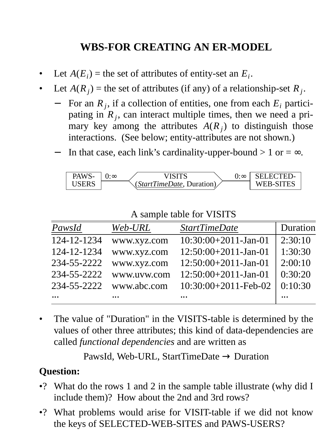## **WBS-FOR CREATING AN ER-MODEL**

- Let  $A(E_i)$  = the set of attributes of entity-set an  $E_i$ .
- Let  $A(R_j)$  = the set of attributes (if any) of a relationship-set  $R_j$ .
	- − For an  $R_j$ , if a collection of entities, one from each  $E_i$  participating in *R<sup>j</sup>* , can interact multiple times, then we need a primary key among the attributes  $A(R_j)$  to distinguish those interactions. (See below; entity-attributes are not shown.)
	- In that case, each link's cardinality-upper-bound  $> 1$  or  $= \infty$ .

| PAWS- | $0:\infty$ | VISITS | $0:\infty$ | SELECTED-<br>WEB-SITES |
|-------|------------|--------|------------|------------------------|
|-------|------------|--------|------------|------------------------|

A sample table for VISITS

| PawsId      | Web-URL              | <b>StartTimeDate</b>    | Duration |
|-------------|----------------------|-------------------------|----------|
| 124-12-1234 | www.xyz.com          | $10:30:00+2011-Jan-01$  | 2:30:10  |
| 124-12-1234 | www.xyz.com          | $12:50:00+2011$ -Jan-01 | 1:30:30  |
| 234-55-2222 | www.xyz.com          | $12:50:00+2011$ -Jan-01 | 2:00:10  |
| 234-55-2222 | www.uvw.com          | $12:50:00+2011$ -Jan-01 | 0:30:20  |
| 234-55-2222 | www.abc.com          | $10:30:00+2011-Feb-02$  | 0:10:30  |
| $\cdots$    | $\ddot{\phantom{a}}$ |                         |          |

The value of "Duration" in the VISITS-table is determined by the values of other three attributes; this kind of data-dependencies are called *functional dependencies* and are written as

PawsId, Web-URL, StartTimeDate  $\rightarrow$  Duration

## **Question:**

- •? What do the rows 1 and 2 in the sample table illustrate (why did I include them)? How about the 2nd and 3rd rows?
- •? What problems would arise for VISIT-table if we did not know the keys of SELECTED-WEB-SITES and PAWS-USERS?